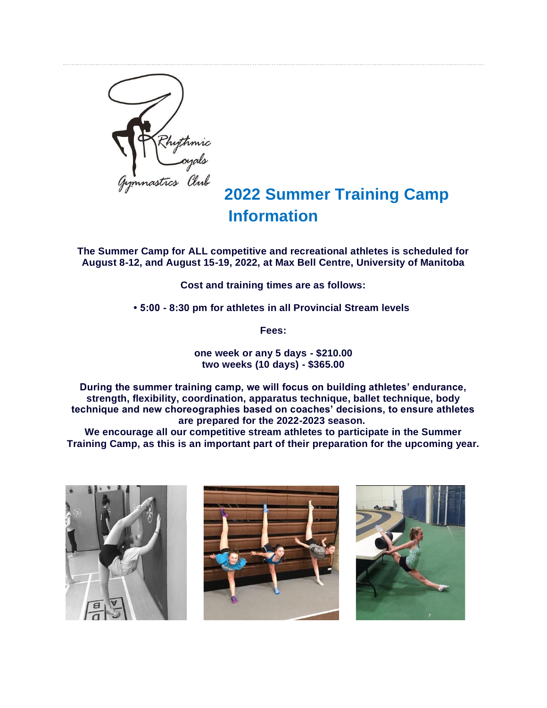

## **2022 Summer Training Camp Information**

**The Summer Camp for ALL competitive and recreational athletes is scheduled for August 8-12, and August 15-19, 2022, at Max Bell Centre, University of Manitoba**

**Cost and training times are as follows:**

**• 5:00 - 8:30 pm for athletes in all Provincial Stream levels**

**Fees:**

**one week or any 5 days - \$210.00 two weeks (10 days) - \$365.00**

**During the summer training camp, we will focus on building athletes' endurance, strength, flexibility, coordination, apparatus technique, ballet technique, body technique and new choreographies based on coaches' decisions, to ensure athletes are prepared for the 2022-2023 season.**

**We encourage all our competitive stream athletes to participate in the Summer Training Camp, as this is an important part of their preparation for the upcoming year.**